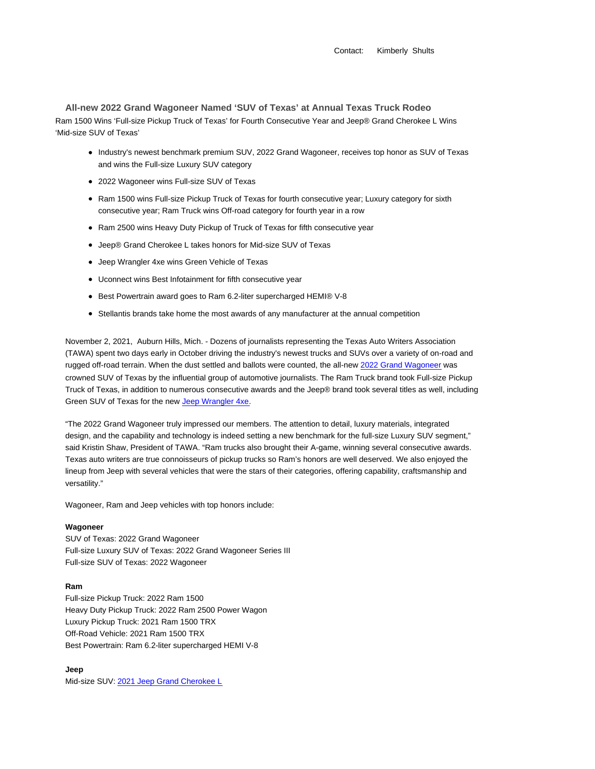Contact: Kimberly Shults

**All-new 2022 Grand Wagoneer Named 'SUV of Texas' at Annual Texas Truck Rodeo** Ram 1500 Wins 'Full-size Pickup Truck of Texas' for Fourth Consecutive Year and Jeep® Grand Cherokee L Wins 'Mid-size SUV of Texas'

- Industry's newest benchmark premium SUV, 2022 Grand Wagoneer, receives top honor as SUV of Texas and wins the Full-size Luxury SUV category
- 2022 Wagoneer wins Full-size SUV of Texas
- Ram 1500 wins Full-size Pickup Truck of Texas for fourth consecutive year; Luxury category for sixth consecutive year; Ram Truck wins Off-road category for fourth year in a row
- Ram 2500 wins Heavy Duty Pickup of Truck of Texas for fifth consecutive year
- Jeep® Grand Cherokee L takes honors for Mid-size SUV of Texas
- Jeep Wrangler 4xe wins Green Vehicle of Texas
- Uconnect wins Best Infotainment for fifth consecutive year
- Best Powertrain award goes to Ram 6.2-liter supercharged HEMI® V-8
- Stellantis brands take home the most awards of any manufacturer at the annual competition

November 2, 2021, Auburn Hills, Mich. - Dozens of journalists representing the Texas Auto Writers Association (TAWA) spent two days early in October driving the industry's newest trucks and SUVs over a variety of on-road and rugged off-road terrain. When the dust settled and ballots were counted, the all-new 2022 Grand Wagoneer was crowned SUV of Texas by the influential group of automotive journalists. The Ram Truck brand took Full-size Pickup Truck of Texas, in addition to numerous consecutive awards and the Jeep® brand took several titles as well, including Green SUV of Texas for the new Jeep Wrangler 4xe.

"The 2022 Grand Wagoneer truly impressed our members. The attention to detail, luxury materials, integrated design, and the capability and technology is indeed setting a new benchmark for the full-size Luxury SUV segment," said Kristin Shaw, President of TAWA. "Ram trucks also brought their A-game, winning several consecutive awards. Texas auto writers are true connoisseurs of pickup trucks so Ram's honors are well deserved. We also enjoyed the lineup from Jeep with several vehicles that were the stars of their categories, offering capability, craftsmanship and versatility."

Wagoneer, Ram and Jeep vehicles with top honors include:

## **Wagoneer**

SUV of Texas: 2022 Grand Wagoneer Full-size Luxury SUV of Texas: 2022 Grand Wagoneer Series III Full-size SUV of Texas: 2022 Wagoneer

#### **Ram**

Full-size Pickup Truck: 2022 Ram 1500 Heavy Duty Pickup Truck: 2022 Ram 2500 Power Wagon Luxury Pickup Truck: 2021 Ram 1500 TRX Off-Road Vehicle: 2021 Ram 1500 TRX Best Powertrain: Ram 6.2-liter supercharged HEMI V-8

## **Jeep**

Mid-size SUV: 2021 Jeep Grand Cherokee L